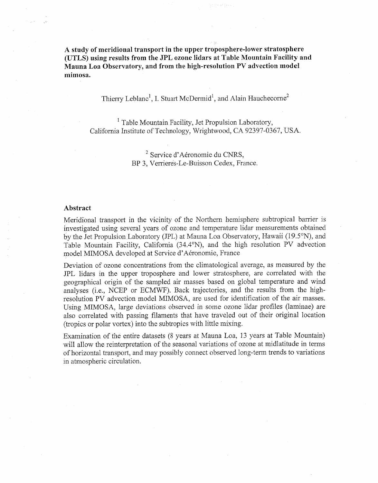**A study of meridional transport in the upper troposphere-lower stratosphere (UTLS) using results from the JPL ozone lidars at Table Mountain Facility and Mauna Loa Observatory, and from the high-resolution PV advection model mimosa.** 

Thierry Leblanc<sup>1</sup>, I. Stuart McDermid<sup>1</sup>, and Alain Hauchecorne<sup>2</sup>

<sup>1</sup> Table Mountain Facility, Jet Propulsion Laboratory, Califomia Institute of Technology, Wrightwood, CA 92397-0367, USA.

> <sup>2</sup> Service d'Aéronomie du CNRS, BP 3, Verrieres-Le-Buisson Cedex, France.

## **Abstract**

Meridional transport in the vicinity of the Northern hemisphere subtropical barrier is investigated using several years of ozone and temperature lidar measurements obtained by the Jet Propulsion Laboratory (JPL) at Mauna Loa Observatory, Hawaii (19.5"N), and Table Mountain Facility, California (34.4"N), and the high resolution PV advection model MIMOSA developed at Service d'Aéronomie, France

Deviation of ozone concentrations from the climatological average, as measured by the JPL lidars in the upper troposphere and lower stratosphere, are correlated with the geographical origin of the sampled air masses based on global temperature and wind analyses (i.e,, NCEP or ECMWF). Back trajectories, and the results from the highresolution PV advection model MIMOSA, are used for identification of the air masses. Using MIMOSA, large deviations observed in some ozone lidar profiles (laminae) are also correlated with passing filaments that have traveled out of their original location (tropics or polar vortex) into the subtropics with little mixing.

Examination of the entire datasets (8 years at Mama Loa, 13 years at Table Mountain) will allow the reinterpretation of the seasonal variations of ozone at midlatitude in terms of horizontal transport, and may possibly connect observed long-term trends to variations in atmospheric circulation.